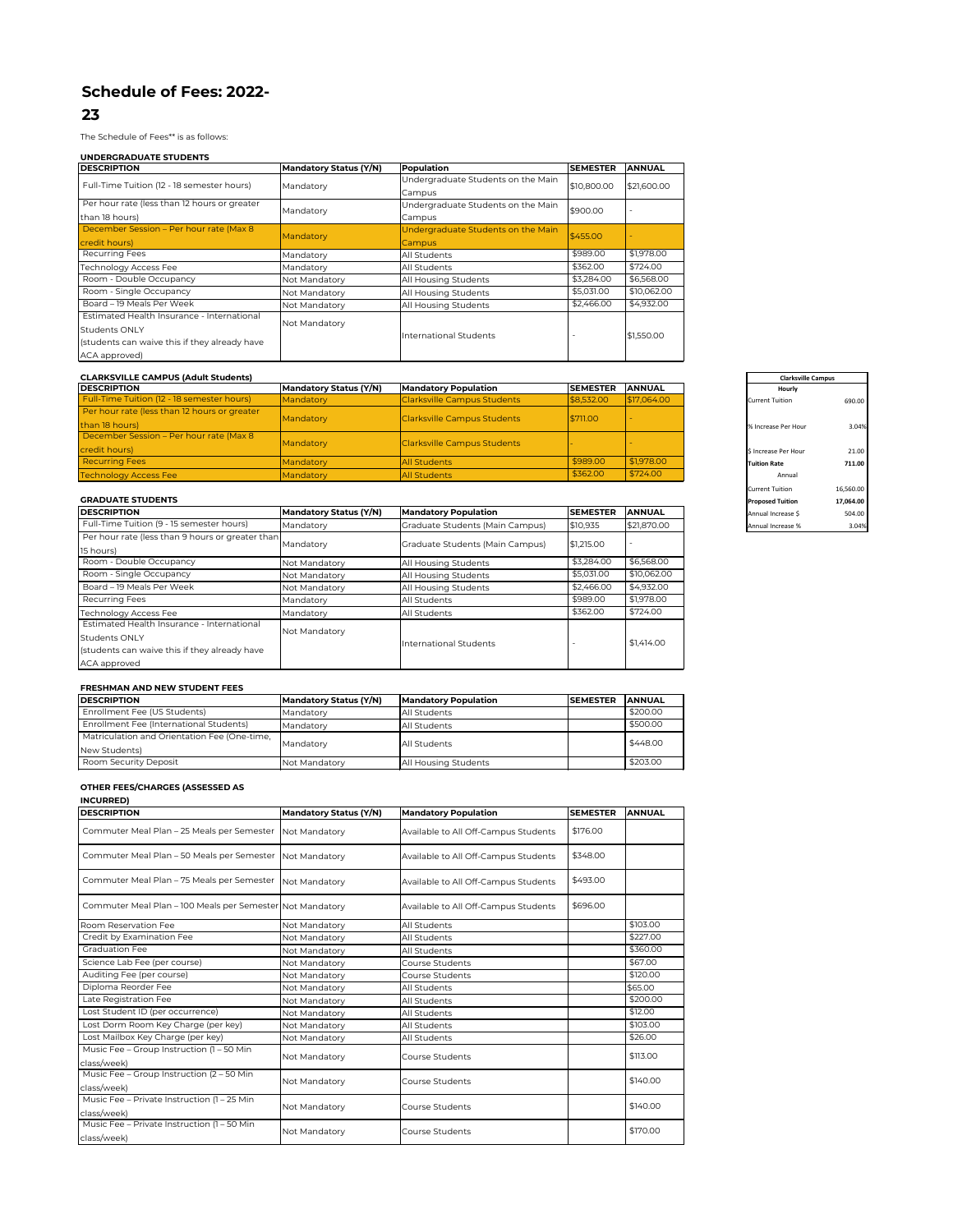# **Schedule of Fees: 2022-**

## **23**

The Schedule of Fees\*\* is as follows:

#### **UNDERGRADUATE STUDENTS**

#### **CLARKSVILLE CAMPUS (Adult Students)**

| <b>DESCRIPTION</b>                           | <b>Mandatory Status (Y/N)</b> | <b>Mandatory Population</b> | <b>SEMESTER</b> | <b>ANNUAL</b> | <b>Hourly</b>          |  |
|----------------------------------------------|-------------------------------|-----------------------------|-----------------|---------------|------------------------|--|
| Full-Time Tuition (12 - 18 semester hours)   | Mandatory                     | Clarksville Campus Students | \$8,532.00      | \$17,064.00   | <b>Current Tuition</b> |  |
| Per hour rate (less than 12 hours or greater |                               |                             |                 |               |                        |  |
| than 18 hours)                               | Mandatory                     | Clarksville Campus Students | \$711.00        |               | % Increase Per Hour    |  |
| December Session - Per hour rate (Max 8      |                               |                             |                 |               |                        |  |
| credit hours)                                | Mandatory                     | Clarksville Campus Students |                 |               | \$ Increase Per Hour   |  |
| <b>Recurring Fees</b>                        | Mandatory                     | <b>All Students</b>         | \$989.00        | \$1,978.00    | <b>Tuition Rate</b>    |  |
| <b>Technology Access Fee</b>                 | Mandatory                     | <b>All Students</b>         | \$362.00        | \$724.00      | Annual                 |  |

#### **GRADUATE STUDENTS**

| <b>DESCRIPTION</b>                           | <b>Mandatory Status (Y/N)</b> | <b>Population</b>                  | <b>SEMESTER</b> | <b>ANNUAL</b>            |
|----------------------------------------------|-------------------------------|------------------------------------|-----------------|--------------------------|
| Full-Time Tuition (12 - 18 semester hours)   | Mandatory                     | Undergraduate Students on the Main | \$10,800.00     | \$21,600.00              |
|                                              |                               | Campus                             |                 |                          |
| Per hour rate (less than 12 hours or greater | Mandatory                     | Undergraduate Students on the Main | \$900.00        | $\overline{\phantom{a}}$ |
| than 18 hours)                               |                               | Campus                             |                 |                          |
| December Session - Per hour rate (Max 8)     | Mandatory                     | Undergraduate Students on the Main | \$455.00        |                          |
| credit hours)                                |                               | <b>Campus</b>                      |                 |                          |
| <b>Recurring Fees</b>                        | Mandatory                     | All Students                       | \$989.00        | \$1,978.00               |
| <b>Technology Access Fee</b>                 | Mandatory                     | All Students                       | \$362.00        | \$724.00                 |
| Room - Double Occupancy                      | Not Mandatory                 | All Housing Students               | \$3,284.00      | \$6,568.00               |
| Room - Single Occupancy                      | Not Mandatory                 | <b>All Housing Students</b>        | \$5,031.00      | \$10,062.00              |
| Board - 19 Meals Per Week                    | Not Mandatory                 | All Housing Students               | \$2,466.00      | \$4,932.00               |
| Estimated Health Insurance - International   |                               |                                    |                 |                          |
| <b>Students ONLY</b>                         | Not Mandatory                 |                                    |                 | \$1,550.00               |
| students can waive this if they already have | <b>International Students</b> |                                    |                 |                          |
| ACA approved)                                |                               |                                    |                 |                          |

#### **FRESHMAN AND NEW STUDENT FEES**

| <b>DESCRIPTION</b>                           | <b>Mandatory Status (Y/N)</b> | <b>Mandatory Population</b> |  | <b>ANNUAL</b> |  |  |  |
|----------------------------------------------|-------------------------------|-----------------------------|--|---------------|--|--|--|
| Enrollment Fee (US Students)                 | Mandatory                     | All Students                |  | \$200.00      |  |  |  |
| Enrollment Fee (International Students)      | Mandatory                     | All Students                |  | \$500.00      |  |  |  |
| Matriculation and Orientation Fee (One-time, |                               |                             |  | \$448.00      |  |  |  |
| New Students)                                | Mandatory                     | All Students                |  |               |  |  |  |
| Room Security Deposit                        | Not Mandatory                 | <b>All Housing Students</b> |  | \$203.00      |  |  |  |

| <b>Clarksville Campus</b> |           |  |  |  |
|---------------------------|-----------|--|--|--|
| <b>Hourly</b>             |           |  |  |  |
| <b>Current Tuition</b>    | 690.00    |  |  |  |
| % Increase Per Hour       | 3.04%     |  |  |  |
| \$ Increase Per Hour      | 21.00     |  |  |  |
| <b>Tuition Rate</b>       | 711.00    |  |  |  |
| Annual                    |           |  |  |  |
| <b>Current Tuition</b>    | 16,560.00 |  |  |  |
| <b>Proposed Tuition</b>   | 17,064.00 |  |  |  |
| Annual Increase \$        | 504.00    |  |  |  |
| Annual Increase %         | 3.04%     |  |  |  |

## **OTHER FEES/CHARGES (ASSESSED AS**

### **INCURRED)**

| <b>DESCRIPTION</b>                                            | <b>Mandatory Status (Y/N)</b> | <b>Mandatory Population</b>     | <b>SEMESTER</b> | <b>ANNUAL</b> | Annual Increase \$ | 504.00 |
|---------------------------------------------------------------|-------------------------------|---------------------------------|-----------------|---------------|--------------------|--------|
| Full-Time Tuition (9 - 15 semester hours)                     | Mandatory                     | Graduate Students (Main Campus) | \$10,935        | \$21,870.00   | Annual Increase %  | 3.04%  |
| Per hour rate (less than 9 hours or greater than<br>15 hours) | Mandatory                     | Graduate Students (Main Campus) | \$1,215.00      |               |                    |        |
| Room - Double Occupancy                                       | Not Mandatory                 | All Housing Students            | \$3,284.00      | \$6,568.00    |                    |        |
| Room - Single Occupancy                                       | Not Mandatory                 | All Housing Students            | \$5,031.00      | \$10,062.00   |                    |        |
| Board - 19 Meals Per Week                                     | Not Mandatory                 | All Housing Students            | \$2,466.00      | \$4,932.00    |                    |        |
| <b>Recurring Fees</b>                                         | Mandatory                     | All Students                    | \$989.00        | \$1,978.00    |                    |        |
| Technology Access Fee                                         | Mandatory                     | All Students                    | \$362.00        | \$724.00      |                    |        |
| Estimated Health Insurance - International                    |                               |                                 |                 |               |                    |        |
| <b>Students ONLY</b>                                          | Not Mandatory                 |                                 |                 | \$1,414.00    |                    |        |
| students can waive this if they already have                  |                               | International Students          |                 |               |                    |        |
| ACA approved                                                  |                               |                                 |                 |               |                    |        |

| <b>DESCRIPTION</b>                                         | <b>Mandatory Status (Y/N)</b> | <b>Mandatory Population</b>          | <b>SEMESTER</b> | <b>ANNUAL</b> |
|------------------------------------------------------------|-------------------------------|--------------------------------------|-----------------|---------------|
| Commuter Meal Plan - 25 Meals per Semester                 | Not Mandatory                 | Available to All Off-Campus Students | \$176.00        |               |
| Commuter Meal Plan - 50 Meals per Semester                 | Not Mandatory                 | Available to All Off-Campus Students | \$348.00        |               |
| Commuter Meal Plan - 75 Meals per Semester                 | Not Mandatory                 | Available to All Off-Campus Students | \$493.00        |               |
| Commuter Meal Plan - 100 Meals per Semester Not Mandatory  |                               | Available to All Off-Campus Students | \$696.00        |               |
| Room Reservation Fee                                       | Not Mandatory                 | <b>All Students</b>                  |                 | \$103.00      |
| Credit by Examination Fee                                  | Not Mandatory                 | All Students                         |                 | \$227.00      |
| <b>Graduation Fee</b>                                      | Not Mandatory                 | <b>All Students</b>                  |                 | \$360.00      |
| Science Lab Fee (per course)                               | Not Mandatory                 | Course Students                      |                 | \$67.00       |
| Auditing Fee (per course)                                  | Not Mandatory                 | Course Students                      |                 | \$120.00      |
| Diploma Reorder Fee                                        | Not Mandatory                 | <b>All Students</b>                  |                 | \$65.00       |
| Late Registration Fee                                      | Not Mandatory                 | <b>All Students</b>                  |                 | \$200.00      |
| Lost Student ID (per occurrence)                           | Not Mandatory                 | <b>All Students</b>                  |                 | \$12.00       |
| Lost Dorm Room Key Charge (per key)                        | Not Mandatory                 | <b>All Students</b>                  |                 | \$103.00      |
| Lost Mailbox Key Charge (per key)                          | Not Mandatory                 | All Students                         |                 | \$26.00       |
| Music Fee - Group Instruction (1 - 50 Min<br>class/week)   | Not Mandatory                 | <b>Course Students</b>               |                 | \$113.00      |
| Music Fee - Group Instruction (2 - 50 Min<br>class/week)   | Not Mandatory                 | <b>Course Students</b>               |                 | \$140.00      |
| Music Fee - Private Instruction (1 - 25 Min<br>class/week) | Not Mandatory                 | Course Students                      |                 | \$140.00      |
| Music Fee - Private Instruction (1 - 50 Min<br>class/week) | Not Mandatory                 | Course Students                      |                 | \$170.00      |